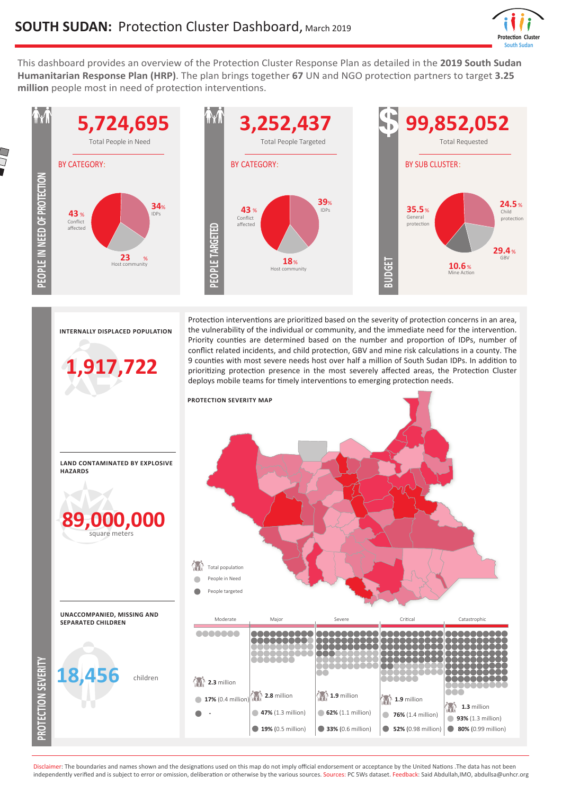

This dashboard provides an overview of the Protection Cluster Response Plan as detailed in the **2019 South Sudan Humanitarian Response Plan (HRP)**. The plan brings together **67** UN and NGO protection partners to target **3.25 million** people most in need of protection interventions.



Disclaimer: The boundaries and names shown and the designations used on this map do not imply official endorsement or acceptance by the United Nations .The data has not been independently verified and is subject to error or omission, deliberation or otherwise by the various sources. Sources: PC 5Ws dataset. Feedback: Said Abdullah,IMO, abdullsa@unhcr.org